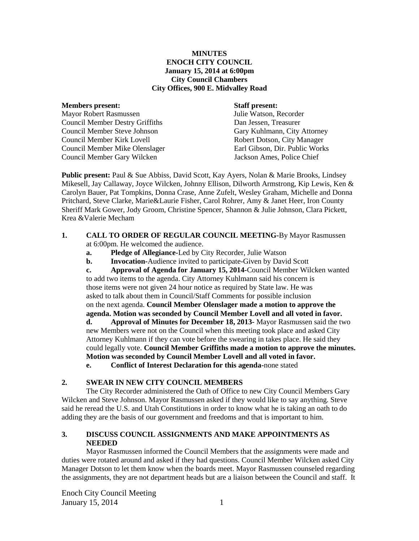## **MINUTES ENOCH CITY COUNCIL January 15, 2014 at 6:00pm City Council Chambers City Offices, 900 E. Midvalley Road**

#### **Members present: Staff present:**

Mayor Robert Rasmussen Julie Watson, Recorder Council Member Destry Griffiths Dan Jessen, Treasurer Council Member Steve Johnson Gary Kuhlmann, City Attorney Council Member Kirk Lovell Robert Dotson, City Manager Council Member Mike Olenslager Earl Gibson, Dir. Public Works Council Member Gary Wilcken Jackson Ames, Police Chief

**Public present:** Paul & Sue Abbiss, David Scott, Kay Ayers, Nolan & Marie Brooks, Lindsey Mikesell, Jay Callaway, Joyce Wilcken, Johnny Ellison, Dilworth Armstrong, Kip Lewis, Ken & Carolyn Bauer, Pat Tompkins, Donna Crase, Anne Zufelt, Wesley Graham, Michelle and Donna Pritchard, Steve Clarke, Marie&Laurie Fisher, Carol Rohrer, Amy & Janet Heer, Iron County Sheriff Mark Gower, Jody Groom, Christine Spencer, Shannon & Julie Johnson, Clara Pickett, Krea &Valerie Mecham

#### **1. CALL TO ORDER OF REGULAR COUNCIL MEETING-**By Mayor Rasmussen at 6:00pm. He welcomed the audience.

- **a. Pledge of Allegiance-**Led by City Recorder, Julie Watson
- **b. Invocation-**Audience invited to participate-Given by David Scott

**c. Approval of Agenda for January 15, 2014-**Council Member Wilcken wanted to add two items to the agenda. City Attorney Kuhlmann said his concern is those items were not given 24 hour notice as required by State law. He was asked to talk about them in Council/Staff Comments for possible inclusion on the next agenda. **Council Member Olenslager made a motion to approve the agenda. Motion was seconded by Council Member Lovell and all voted in favor.**

**d. Approval of Minutes for December 18, 2013-** Mayor Rasmussen said the two new Members were not on the Council when this meeting took place and asked City Attorney Kuhlmann if they can vote before the swearing in takes place. He said they could legally vote. **Council Member Griffiths made a motion to approve the minutes. Motion was seconded by Council Member Lovell and all voted in favor.** 

**e. Conflict of Interest Declaration for this agenda-**none stated

# **2. SWEAR IN NEW CITY COUNCIL MEMBERS**

The City Recorder administered the Oath of Office to new City Council Members Gary Wilcken and Steve Johnson. Mayor Rasmussen asked if they would like to say anything. Steve said he reread the U.S. and Utah Constitutions in order to know what he is taking an oath to do adding they are the basis of our government and freedoms and that is important to him.

# **3. DISCUSS COUNCIL ASSIGNMENTS AND MAKE APPOINTMENTS AS NEEDED**

Mayor Rasmussen informed the Council Members that the assignments were made and duties were rotated around and asked if they had questions. Council Member Wilcken asked City Manager Dotson to let them know when the boards meet. Mayor Rasmussen counseled regarding the assignments, they are not department heads but are a liaison between the Council and staff. It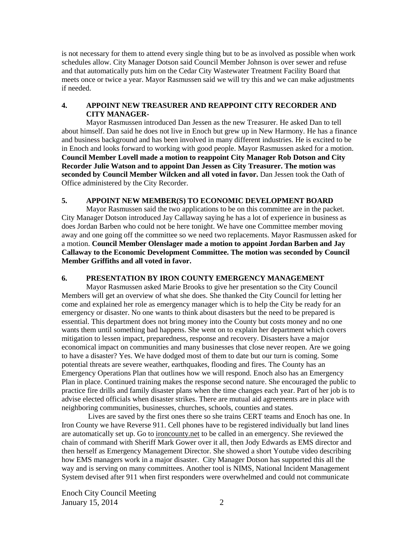is not necessary for them to attend every single thing but to be as involved as possible when work schedules allow. City Manager Dotson said Council Member Johnson is over sewer and refuse and that automatically puts him on the Cedar City Wastewater Treatment Facility Board that meets once or twice a year. Mayor Rasmussen said we will try this and we can make adjustments if needed.

## **4. APPOINT NEW TREASURER AND REAPPOINT CITY RECORDER AND CITY MANAGER-**

Mayor Rasmussen introduced Dan Jessen as the new Treasurer. He asked Dan to tell about himself. Dan said he does not live in Enoch but grew up in New Harmony. He has a finance and business background and has been involved in many different industries. He is excited to be in Enoch and looks forward to working with good people. Mayor Rasmussen asked for a motion. **Council Member Lovell made a motion to reappoint City Manager Rob Dotson and City Recorder Julie Watson and to appoint Dan Jessen as City Treasurer. The motion was seconded by Council Member Wilcken and all voted in favor.** Dan Jessen took the Oath of Office administered by the City Recorder.

#### **5. APPOINT NEW MEMBER(S) TO ECONOMIC DEVELOPMENT BOARD**

Mayor Rasmussen said the two applications to be on this committee are in the packet. City Manager Dotson introduced Jay Callaway saying he has a lot of experience in business as does Jordan Barben who could not be here tonight. We have one Committee member moving away and one going off the committee so we need two replacements. Mayor Rasmussen asked for a motion. **Council Member Olenslager made a motion to appoint Jordan Barben and Jay Callaway to the Economic Development Committee. The motion was seconded by Council Member Griffiths and all voted in favor.**

## **6. PRESENTATION BY IRON COUNTY EMERGENCY MANAGEMENT**

Mayor Rasmussen asked Marie Brooks to give her presentation so the City Council Members will get an overview of what she does. She thanked the City Council for letting her come and explained her role as emergency manager which is to help the City be ready for an emergency or disaster. No one wants to think about disasters but the need to be prepared is essential. This department does not bring money into the County but costs money and no one wants them until something bad happens. She went on to explain her department which covers mitigation to lessen impact, preparedness, response and recovery. Disasters have a major economical impact on communities and many businesses that close never reopen. Are we going to have a disaster? Yes. We have dodged most of them to date but our turn is coming. Some potential threats are severe weather, earthquakes, flooding and fires. The County has an Emergency Operations Plan that outlines how we will respond. Enoch also has an Emergency Plan in place. Continued training makes the response second nature. She encouraged the public to practice fire drills and family disaster plans when the time changes each year. Part of her job is to advise elected officials when disaster strikes. There are mutual aid agreements are in place with neighboring communities, businesses, churches, schools, counties and states.

Lives are saved by the first ones there so she trains CERT teams and Enoch has one. In Iron County we have Reverse 911. Cell phones have to be registered individually but land lines are automatically set up. Go to ironcounty.net to be called in an emergency. She reviewed the chain of command with Sheriff Mark Gower over it all, then Jody Edwards as EMS director and then herself as Emergency Management Director. She showed a short Youtube video describing how EMS managers work in a major disaster. City Manager Dotson has supported this all the way and is serving on many committees. Another tool is NIMS, National Incident Management System devised after 911 when first responders were overwhelmed and could not communicate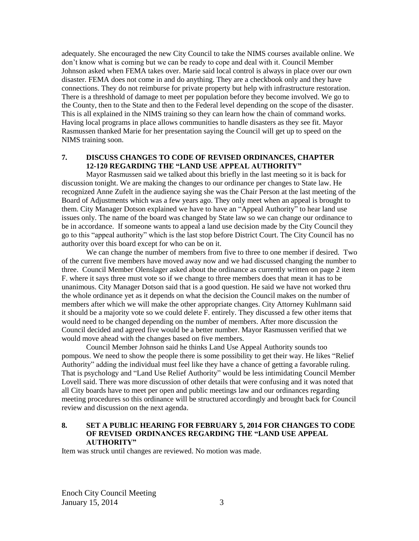adequately. She encouraged the new City Council to take the NIMS courses available online. We don't know what is coming but we can be ready to cope and deal with it. Council Member Johnson asked when FEMA takes over. Marie said local control is always in place over our own disaster. FEMA does not come in and do anything. They are a checkbook only and they have connections. They do not reimburse for private property but help with infrastructure restoration. There is a threshhold of damage to meet per population before they become involved. We go to the County, then to the State and then to the Federal level depending on the scope of the disaster. This is all explained in the NIMS training so they can learn how the chain of command works. Having local programs in place allows communities to handle disasters as they see fit. Mayor Rasmussen thanked Marie for her presentation saying the Council will get up to speed on the NIMS training soon.

## **7. DISCUSS CHANGES TO CODE OF REVISED ORDINANCES, CHAPTER 12-120 REGARDING THE "LAND USE APPEAL AUTHORITY"**

Mayor Rasmussen said we talked about this briefly in the last meeting so it is back for discussion tonight. We are making the changes to our ordinance per changes to State law. He recognized Anne Zufelt in the audience saying she was the Chair Person at the last meeting of the Board of Adjustments which was a few years ago. They only meet when an appeal is brought to them. City Manager Dotson explained we have to have an "Appeal Authority" to hear land use issues only. The name of the board was changed by State law so we can change our ordinance to be in accordance. If someone wants to appeal a land use decision made by the City Council they go to this "appeal authority" which is the last stop before District Court. The City Council has no authority over this board except for who can be on it.

We can change the number of members from five to three to one member if desired. Two of the current five members have moved away now and we had discussed changing the number to three. Council Member Olenslager asked about the ordinance as currently written on page 2 item F. where it says three must vote so if we change to three members does that mean it has to be unanimous. City Manager Dotson said that is a good question. He said we have not worked thru the whole ordinance yet as it depends on what the decision the Council makes on the number of members after which we will make the other appropriate changes. City Attorney Kuhlmann said it should be a majority vote so we could delete F. entirely. They discussed a few other items that would need to be changed depending on the number of members. After more discussion the Council decided and agreed five would be a better number. Mayor Rasmussen verified that we would move ahead with the changes based on five members.

Council Member Johnson said he thinks Land Use Appeal Authority sounds too pompous. We need to show the people there is some possibility to get their way. He likes "Relief Authority" adding the individual must feel like they have a chance of getting a favorable ruling. That is psychology and "Land Use Relief Authority" would be less intimidating Council Member Lovell said. There was more discussion of other details that were confusing and it was noted that all City boards have to meet per open and public meetings law and our ordinances regarding meeting procedures so this ordinance will be structured accordingly and brought back for Council review and discussion on the next agenda.

## **8. SET A PUBLIC HEARING FOR FEBRUARY 5, 2014 FOR CHANGES TO CODE OF REVISED ORDINANCES REGARDING THE "LAND USE APPEAL AUTHORITY"**

Item was struck until changes are reviewed. No motion was made.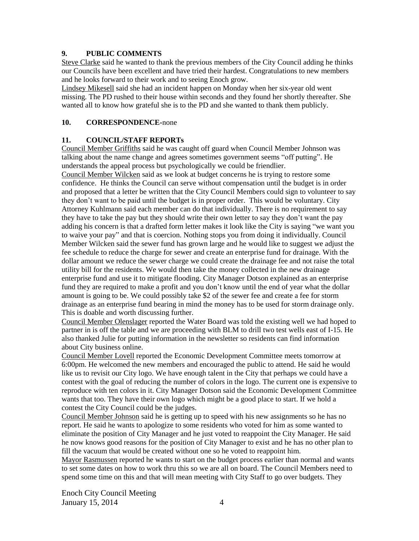## **9. PUBLIC COMMENTS**

Steve Clarke said he wanted to thank the previous members of the City Council adding he thinks our Councils have been excellent and have tried their hardest. Congratulations to new members and he looks forward to their work and to seeing Enoch grow.

Lindsey Mikesell said she had an incident happen on Monday when her six-year old went missing. The PD rushed to their house within seconds and they found her shortly thereafter. She wanted all to know how grateful she is to the PD and she wanted to thank them publicly.

## **10. CORRESPONDENCE-**none

## **11. COUNCIL/STAFF REPORTs**

Council Member Griffiths said he was caught off guard when Council Member Johnson was talking about the name change and agrees sometimes government seems "off putting". He understands the appeal process but psychologically we could be friendlier.

Council Member Wilcken said as we look at budget concerns he is trying to restore some confidence. He thinks the Council can serve without compensation until the budget is in order and proposed that a letter be written that the City Council Members could sign to volunteer to say they don't want to be paid until the budget is in proper order. This would be voluntary. City Attorney Kuhlmann said each member can do that individually. There is no requirement to say they have to take the pay but they should write their own letter to say they don't want the pay adding his concern is that a drafted form letter makes it look like the City is saying "we want you to waive your pay" and that is coercion. Nothing stops you from doing it individually. Council Member Wilcken said the sewer fund has grown large and he would like to suggest we adjust the fee schedule to reduce the charge for sewer and create an enterprise fund for drainage. With the dollar amount we reduce the sewer charge we could create the drainage fee and not raise the total utility bill for the residents. We would then take the money collected in the new drainage enterprise fund and use it to mitigate flooding. City Manager Dotson explained as an enterprise fund they are required to make a profit and you don't know until the end of year what the dollar amount is going to be. We could possibly take \$2 of the sewer fee and create a fee for storm drainage as an enterprise fund bearing in mind the money has to be used for storm drainage only. This is doable and worth discussing further.

Council Member Olenslager reported the Water Board was told the existing well we had hoped to partner in is off the table and we are proceeding with BLM to drill two test wells east of I-15. He also thanked Julie for putting information in the newsletter so residents can find information about City business online.

Council Member Lovell reported the Economic Development Committee meets tomorrow at 6:00pm. He welcomed the new members and encouraged the public to attend. He said he would like us to revisit our City logo. We have enough talent in the City that perhaps we could have a contest with the goal of reducing the number of colors in the logo. The current one is expensive to reproduce with ten colors in it. City Manager Dotson said the Economic Development Committee wants that too. They have their own logo which might be a good place to start. If we hold a contest the City Council could be the judges.

Council Member Johnson said he is getting up to speed with his new assignments so he has no report. He said he wants to apologize to some residents who voted for him as some wanted to eliminate the position of City Manager and he just voted to reappoint the City Manager. He said he now knows good reasons for the position of City Manager to exist and he has no other plan to fill the vacuum that would be created without one so he voted to reappoint him.

Mayor Rasmussen reported he wants to start on the budget process earlier than normal and wants to set some dates on how to work thru this so we are all on board. The Council Members need to spend some time on this and that will mean meeting with City Staff to go over budgets. They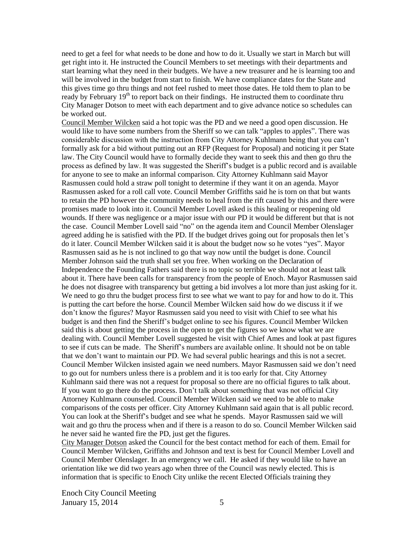need to get a feel for what needs to be done and how to do it. Usually we start in March but will get right into it. He instructed the Council Members to set meetings with their departments and start learning what they need in their budgets. We have a new treasurer and he is learning too and will be involved in the budget from start to finish. We have compliance dates for the State and this gives time go thru things and not feel rushed to meet those dates. He told them to plan to be ready by February 19<sup>th</sup> to report back on their findings. He instructed them to coordinate thru City Manager Dotson to meet with each department and to give advance notice so schedules can be worked out.

Council Member Wilcken said a hot topic was the PD and we need a good open discussion. He would like to have some numbers from the Sheriff so we can talk "apples to apples". There was considerable discussion with the instruction from City Attorney Kuhlmann being that you can't formally ask for a bid without putting out an RFP (Request for Proposal) and noticing it per State law. The City Council would have to formally decide they want to seek this and then go thru the process as defined by law. It was suggested the Sheriff's budget is a public record and is available for anyone to see to make an informal comparison. City Attorney Kuhlmann said Mayor Rasmussen could hold a straw poll tonight to determine if they want it on an agenda. Mayor Rasmussen asked for a roll call vote. Council Member Griffiths said he is torn on that but wants to retain the PD however the community needs to heal from the rift caused by this and there were promises made to look into it. Council Member Lovell asked is this healing or reopening old wounds. If there was negligence or a major issue with our PD it would be different but that is not the case. Council Member Lovell said "no" on the agenda item and Council Member Olenslager agreed adding he is satisfied with the PD. If the budget drives going out for proposals then let's do it later. Council Member Wilcken said it is about the budget now so he votes "yes". Mayor Rasmussen said as he is not inclined to go that way now until the budget is done. Council Member Johnson said the truth shall set you free. When working on the Declaration of Independence the Founding Fathers said there is no topic so terrible we should not at least talk about it. There have been calls for transparency from the people of Enoch. Mayor Rasmussen said he does not disagree with transparency but getting a bid involves a lot more than just asking for it. We need to go thru the budget process first to see what we want to pay for and how to do it. This is putting the cart before the horse. Council Member Wilcken said how do we discuss it if we don't know the figures? Mayor Rasmussen said you need to visit with Chief to see what his budget is and then find the Sheriff's budget online to see his figures. Council Member Wilcken said this is about getting the process in the open to get the figures so we know what we are dealing with. Council Member Lovell suggested he visit with Chief Ames and look at past figures to see if cuts can be made. The Sheriff's numbers are available online. It should not be on table that we don't want to maintain our PD. We had several public hearings and this is not a secret. Council Member Wilcken insisted again we need numbers. Mayor Rasmussen said we don't need to go out for numbers unless there is a problem and it is too early for that. City Attorney Kuhlmann said there was not a request for proposal so there are no official figures to talk about. If you want to go there do the process. Don't talk about something that was not official City Attorney Kuhlmann counseled. Council Member Wilcken said we need to be able to make comparisons of the costs per officer. City Attorney Kuhlmann said again that is all public record. You can look at the Sheriff's budget and see what he spends. Mayor Rasmussen said we will wait and go thru the process when and if there is a reason to do so. Council Member Wilcken said he never said he wanted fire the PD, just get the figures.

City Manager Dotson asked the Council for the best contact method for each of them. Email for Council Member Wilcken, Griffiths and Johnson and text is best for Council Member Lovell and Council Member Olenslager. In an emergency we call. He asked if they would like to have an orientation like we did two years ago when three of the Council was newly elected. This is information that is specific to Enoch City unlike the recent Elected Officials training they

Enoch City Council Meeting January 15, 2014  $\overline{5}$